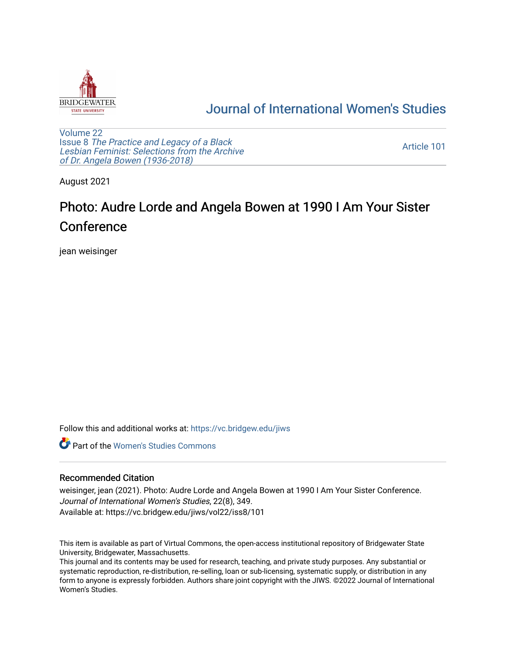

## [Journal of International Women's Studies](https://vc.bridgew.edu/jiws)

[Volume 22](https://vc.bridgew.edu/jiws/vol22) Issue 8 [The Practice and Legacy of a Black](https://vc.bridgew.edu/jiws/vol22/iss8)  [Lesbian Feminist: Selections from the Archive](https://vc.bridgew.edu/jiws/vol22/iss8)  [of Dr. Angela Bowen \(1936-2018\)](https://vc.bridgew.edu/jiws/vol22/iss8)

[Article 101](https://vc.bridgew.edu/jiws/vol22/iss8/101) 

August 2021

## Photo: Audre Lorde and Angela Bowen at 1990 I Am Your Sister Conference

jean weisinger

Follow this and additional works at: [https://vc.bridgew.edu/jiws](https://vc.bridgew.edu/jiws?utm_source=vc.bridgew.edu%2Fjiws%2Fvol22%2Fiss8%2F101&utm_medium=PDF&utm_campaign=PDFCoverPages)

**C** Part of the Women's Studies Commons

## Recommended Citation

weisinger, jean (2021). Photo: Audre Lorde and Angela Bowen at 1990 I Am Your Sister Conference. Journal of International Women's Studies, 22(8), 349. Available at: https://vc.bridgew.edu/jiws/vol22/iss8/101

This item is available as part of Virtual Commons, the open-access institutional repository of Bridgewater State University, Bridgewater, Massachusetts.

This journal and its contents may be used for research, teaching, and private study purposes. Any substantial or systematic reproduction, re-distribution, re-selling, loan or sub-licensing, systematic supply, or distribution in any form to anyone is expressly forbidden. Authors share joint copyright with the JIWS. ©2022 Journal of International Women's Studies.